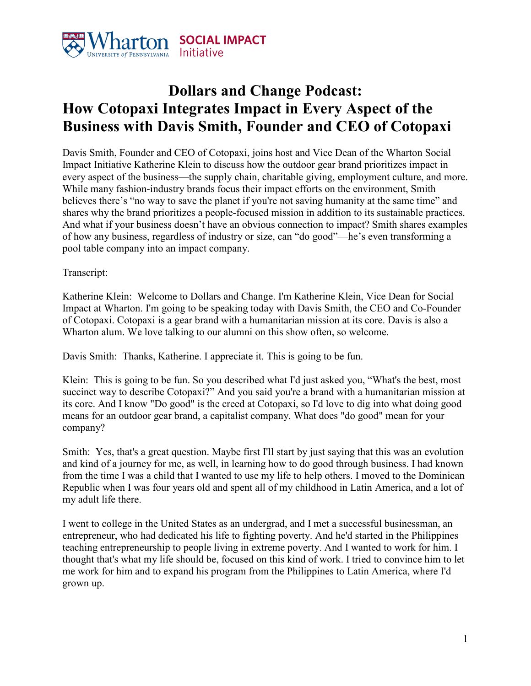

## **Dollars and Change Podcast: How Cotopaxi Integrates Impact in Every Aspect of the Business with Davis Smith, Founder and CEO of Cotopaxi**

Davis Smith, Founder and CEO of Cotopaxi, joins host and Vice Dean of the Wharton Social Impact Initiative Katherine Klein to discuss how the outdoor gear brand prioritizes impact in every aspect of the business—the supply chain, charitable giving, employment culture, and more. While many fashion-industry brands focus their impact efforts on the environment, Smith believes there's "no way to save the planet if you're not saving humanity at the same time" and shares why the brand prioritizes a people-focused mission in addition to its sustainable practices. And what if your business doesn't have an obvious connection to impact? Smith shares examples of how any business, regardless of industry or size, can "do good"—he's even transforming a pool table company into an impact company.

## Transcript:

Katherine Klein: Welcome to Dollars and Change. I'm Katherine Klein, Vice Dean for Social Impact at Wharton. I'm going to be speaking today with Davis Smith, the CEO and Co-Founder of Cotopaxi. Cotopaxi is a gear brand with a humanitarian mission at its core. Davis is also a Wharton alum. We love talking to our alumni on this show often, so welcome.

Davis Smith: Thanks, Katherine. I appreciate it. This is going to be fun.

Klein: This is going to be fun. So you described what I'd just asked you, "What's the best, most succinct way to describe Cotopaxi?" And you said you're a brand with a humanitarian mission at its core. And I know "Do good" is the creed at Cotopaxi, so I'd love to dig into what doing good means for an outdoor gear brand, a capitalist company. What does "do good" mean for your company?

Smith: Yes, that's a great question. Maybe first I'll start by just saying that this was an evolution and kind of a journey for me, as well, in learning how to do good through business. I had known from the time I was a child that I wanted to use my life to help others. I moved to the Dominican Republic when I was four years old and spent all of my childhood in Latin America, and a lot of my adult life there.

I went to college in the United States as an undergrad, and I met a successful businessman, an entrepreneur, who had dedicated his life to fighting poverty. And he'd started in the Philippines teaching entrepreneurship to people living in extreme poverty. And I wanted to work for him. I thought that's what my life should be, focused on this kind of work. I tried to convince him to let me work for him and to expand his program from the Philippines to Latin America, where I'd grown up.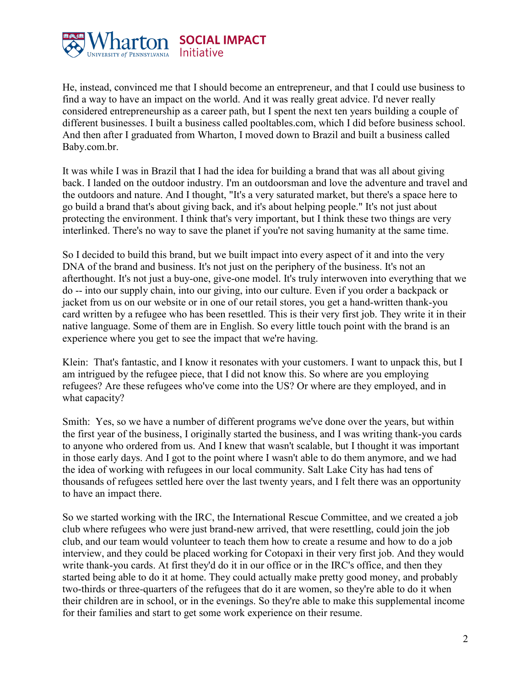

He, instead, convinced me that I should become an entrepreneur, and that I could use business to find a way to have an impact on the world. And it was really great advice. I'd never really considered entrepreneurship as a career path, but I spent the next ten years building a couple of different businesses. I built a business called pooltables.com, which I did before business school. And then after I graduated from Wharton, I moved down to Brazil and built a business called Baby.com.br.

It was while I was in Brazil that I had the idea for building a brand that was all about giving back. I landed on the outdoor industry. I'm an outdoorsman and love the adventure and travel and the outdoors and nature. And I thought, "It's a very saturated market, but there's a space here to go build a brand that's about giving back, and it's about helping people." It's not just about protecting the environment. I think that's very important, but I think these two things are very interlinked. There's no way to save the planet if you're not saving humanity at the same time.

So I decided to build this brand, but we built impact into every aspect of it and into the very DNA of the brand and business. It's not just on the periphery of the business. It's not an afterthought. It's not just a buy-one, give-one model. It's truly interwoven into everything that we do -- into our supply chain, into our giving, into our culture. Even if you order a backpack or jacket from us on our website or in one of our retail stores, you get a hand-written thank-you card written by a refugee who has been resettled. This is their very first job. They write it in their native language. Some of them are in English. So every little touch point with the brand is an experience where you get to see the impact that we're having.

Klein: That's fantastic, and I know it resonates with your customers. I want to unpack this, but I am intrigued by the refugee piece, that I did not know this. So where are you employing refugees? Are these refugees who've come into the US? Or where are they employed, and in what capacity?

Smith: Yes, so we have a number of different programs we've done over the years, but within the first year of the business, I originally started the business, and I was writing thank-you cards to anyone who ordered from us. And I knew that wasn't scalable, but I thought it was important in those early days. And I got to the point where I wasn't able to do them anymore, and we had the idea of working with refugees in our local community. Salt Lake City has had tens of thousands of refugees settled here over the last twenty years, and I felt there was an opportunity to have an impact there.

So we started working with the IRC, the International Rescue Committee, and we created a job club where refugees who were just brand-new arrived, that were resettling, could join the job club, and our team would volunteer to teach them how to create a resume and how to do a job interview, and they could be placed working for Cotopaxi in their very first job. And they would write thank-you cards. At first they'd do it in our office or in the IRC's office, and then they started being able to do it at home. They could actually make pretty good money, and probably two-thirds or three-quarters of the refugees that do it are women, so they're able to do it when their children are in school, or in the evenings. So they're able to make this supplemental income for their families and start to get some work experience on their resume.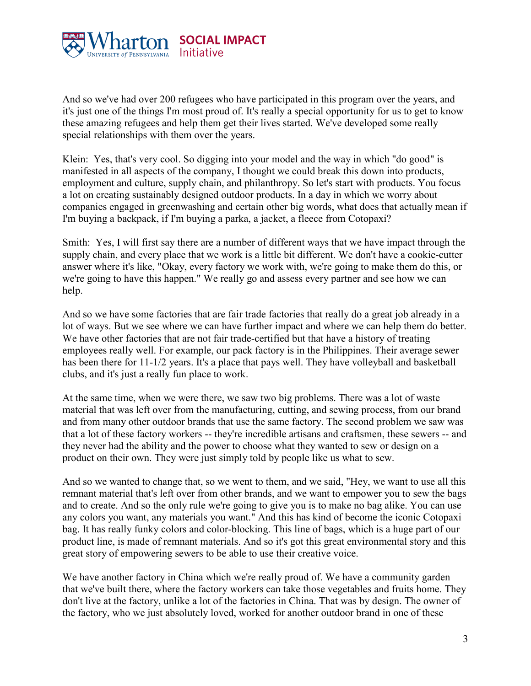

And so we've had over 200 refugees who have participated in this program over the years, and it's just one of the things I'm most proud of. It's really a special opportunity for us to get to know these amazing refugees and help them get their lives started. We've developed some really special relationships with them over the years.

Klein: Yes, that's very cool. So digging into your model and the way in which "do good" is manifested in all aspects of the company, I thought we could break this down into products, employment and culture, supply chain, and philanthropy. So let's start with products. You focus a lot on creating sustainably designed outdoor products. In a day in which we worry about companies engaged in greenwashing and certain other big words, what does that actually mean if I'm buying a backpack, if I'm buying a parka, a jacket, a fleece from Cotopaxi?

Smith: Yes, I will first say there are a number of different ways that we have impact through the supply chain, and every place that we work is a little bit different. We don't have a cookie-cutter answer where it's like, "Okay, every factory we work with, we're going to make them do this, or we're going to have this happen." We really go and assess every partner and see how we can help.

And so we have some factories that are fair trade factories that really do a great job already in a lot of ways. But we see where we can have further impact and where we can help them do better. We have other factories that are not fair trade-certified but that have a history of treating employees really well. For example, our pack factory is in the Philippines. Their average sewer has been there for 11-1/2 years. It's a place that pays well. They have volleyball and basketball clubs, and it's just a really fun place to work.

At the same time, when we were there, we saw two big problems. There was a lot of waste material that was left over from the manufacturing, cutting, and sewing process, from our brand and from many other outdoor brands that use the same factory. The second problem we saw was that a lot of these factory workers -- they're incredible artisans and craftsmen, these sewers -- and they never had the ability and the power to choose what they wanted to sew or design on a product on their own. They were just simply told by people like us what to sew.

And so we wanted to change that, so we went to them, and we said, "Hey, we want to use all this remnant material that's left over from other brands, and we want to empower you to sew the bags and to create. And so the only rule we're going to give you is to make no bag alike. You can use any colors you want, any materials you want." And this has kind of become the iconic Cotopaxi bag. It has really funky colors and color-blocking. This line of bags, which is a huge part of our product line, is made of remnant materials. And so it's got this great environmental story and this great story of empowering sewers to be able to use their creative voice.

We have another factory in China which we're really proud of. We have a community garden that we've built there, where the factory workers can take those vegetables and fruits home. They don't live at the factory, unlike a lot of the factories in China. That was by design. The owner of the factory, who we just absolutely loved, worked for another outdoor brand in one of these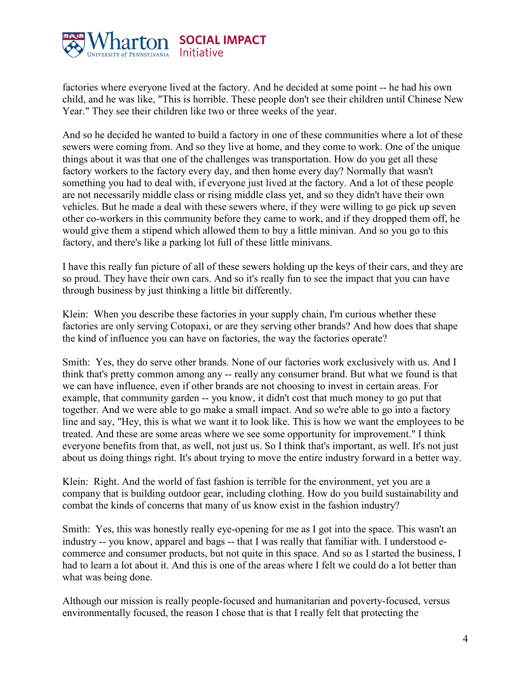

factories where everyone lived at the factory. And he decided at some point -- he had his own child, and he was like, "This is horrible. These people don't see their children until Chinese New Year." They see their children like two or three weeks of the year.

And so he decided he wanted to build a factory in one of these communities where a lot of these sewers were coming from. And so they live at home, and they come to work. One of the unique things about it was that one of the challenges was transportation. How do you get all these factory workers to the factory every day, and then home every day? Normally that wasn't something you had to deal with, if everyone just lived at the factory. And a lot of these people are not necessarily middle class or rising middle class yet, and so they didn't have their own vehicles. But he made a deal with these sewers where, if they were willing to go pick up seven other co-workers in this community before they came to work, and if they dropped them off, he would give them a stipend which allowed them to buy a little minivan. And so you go to this factory, and there's like a parking lot full of these little minivans.

I have this really fun picture of all of these sewers holding up the keys of their cars, and they are so proud. They have their own cars. And so it's really fun to see the impact that you can have through business by just thinking a little bit differently.

Klein: When you describe these factories in your supply chain, I'm curious whether these factories are only serving Cotopaxi, or are they serving other brands? And how does that shape the kind of influence you can have on factories, the way the factories operate?

Smith: Yes, they do serve other brands. None of our factories work exclusively with us. And I think that's pretty common among any -- really any consumer brand. But what we found is that we can have influence, even if other brands are not choosing to invest in certain areas. For example, that community garden -- you know, it didn't cost that much money to go put that together. And we were able to go make a small impact. And so we're able to go into a factory line and say, "Hey, this is what we want it to look like. This is how we want the employees to be treated. And these are some areas where we see some opportunity for improvement." I think everyone benefits from that, as well, not just us. So I think that's important, as well. It's not just about us doing things right. It's about trying to move the entire industry forward in a better way.

Klein: Right. And the world of fast fashion is terrible for the environment, yet you are a company that is building outdoor gear, including clothing. How do you build sustainability and combat the kinds of concerns that many of us know exist in the fashion industry?

Smith: Yes, this was honestly really eye-opening for me as I got into the space. This wasn't an industry -- you know, apparel and bags -- that I was really that familiar with. I understood ecommerce and consumer products, but not quite in this space. And so as I started the business, I had to learn a lot about it. And this is one of the areas where I felt we could do a lot better than what was being done.

Although our mission is really people-focused and humanitarian and poverty-focused, versus environmentally focused, the reason I chose that is that I really felt that protecting the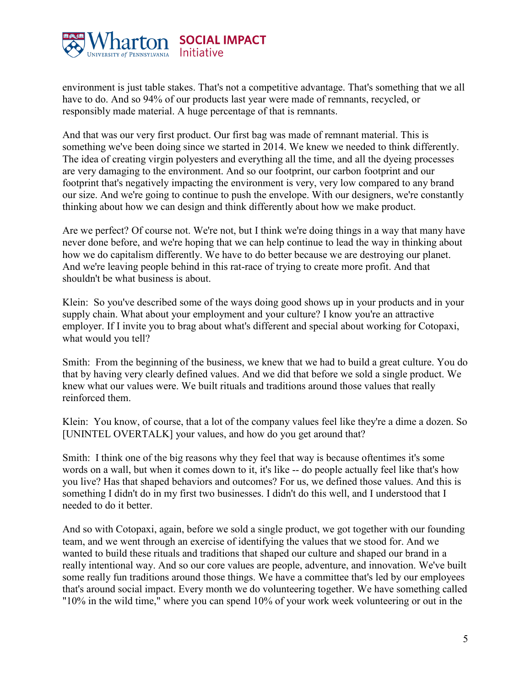

environment is just table stakes. That's not a competitive advantage. That's something that we all have to do. And so 94% of our products last year were made of remnants, recycled, or responsibly made material. A huge percentage of that is remnants.

And that was our very first product. Our first bag was made of remnant material. This is something we've been doing since we started in 2014. We knew we needed to think differently. The idea of creating virgin polyesters and everything all the time, and all the dyeing processes are very damaging to the environment. And so our footprint, our carbon footprint and our footprint that's negatively impacting the environment is very, very low compared to any brand our size. And we're going to continue to push the envelope. With our designers, we're constantly thinking about how we can design and think differently about how we make product.

Are we perfect? Of course not. We're not, but I think we're doing things in a way that many have never done before, and we're hoping that we can help continue to lead the way in thinking about how we do capitalism differently. We have to do better because we are destroying our planet. And we're leaving people behind in this rat-race of trying to create more profit. And that shouldn't be what business is about.

Klein: So you've described some of the ways doing good shows up in your products and in your supply chain. What about your employment and your culture? I know you're an attractive employer. If I invite you to brag about what's different and special about working for Cotopaxi, what would you tell?

Smith: From the beginning of the business, we knew that we had to build a great culture. You do that by having very clearly defined values. And we did that before we sold a single product. We knew what our values were. We built rituals and traditions around those values that really reinforced them.

Klein: You know, of course, that a lot of the company values feel like they're a dime a dozen. So [UNINTEL OVERTALK] your values, and how do you get around that?

Smith: I think one of the big reasons why they feel that way is because oftentimes it's some words on a wall, but when it comes down to it, it's like -- do people actually feel like that's how you live? Has that shaped behaviors and outcomes? For us, we defined those values. And this is something I didn't do in my first two businesses. I didn't do this well, and I understood that I needed to do it better.

And so with Cotopaxi, again, before we sold a single product, we got together with our founding team, and we went through an exercise of identifying the values that we stood for. And we wanted to build these rituals and traditions that shaped our culture and shaped our brand in a really intentional way. And so our core values are people, adventure, and innovation. We've built some really fun traditions around those things. We have a committee that's led by our employees that's around social impact. Every month we do volunteering together. We have something called "10% in the wild time," where you can spend 10% of your work week volunteering or out in the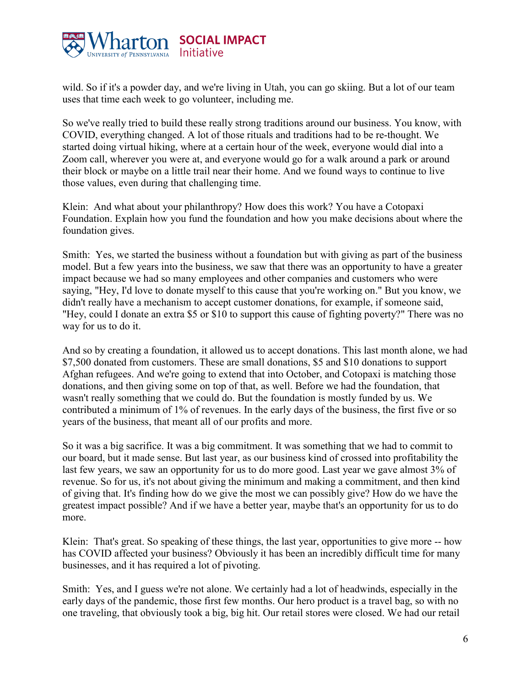

wild. So if it's a powder day, and we're living in Utah, you can go skiing. But a lot of our team uses that time each week to go volunteer, including me.

So we've really tried to build these really strong traditions around our business. You know, with COVID, everything changed. A lot of those rituals and traditions had to be re-thought. We started doing virtual hiking, where at a certain hour of the week, everyone would dial into a Zoom call, wherever you were at, and everyone would go for a walk around a park or around their block or maybe on a little trail near their home. And we found ways to continue to live those values, even during that challenging time.

Klein: And what about your philanthropy? How does this work? You have a Cotopaxi Foundation. Explain how you fund the foundation and how you make decisions about where the foundation gives.

Smith: Yes, we started the business without a foundation but with giving as part of the business model. But a few years into the business, we saw that there was an opportunity to have a greater impact because we had so many employees and other companies and customers who were saying, "Hey, I'd love to donate myself to this cause that you're working on." But you know, we didn't really have a mechanism to accept customer donations, for example, if someone said, "Hey, could I donate an extra \$5 or \$10 to support this cause of fighting poverty?" There was no way for us to do it.

And so by creating a foundation, it allowed us to accept donations. This last month alone, we had \$7,500 donated from customers. These are small donations, \$5 and \$10 donations to support Afghan refugees. And we're going to extend that into October, and Cotopaxi is matching those donations, and then giving some on top of that, as well. Before we had the foundation, that wasn't really something that we could do. But the foundation is mostly funded by us. We contributed a minimum of 1% of revenues. In the early days of the business, the first five or so years of the business, that meant all of our profits and more.

So it was a big sacrifice. It was a big commitment. It was something that we had to commit to our board, but it made sense. But last year, as our business kind of crossed into profitability the last few years, we saw an opportunity for us to do more good. Last year we gave almost 3% of revenue. So for us, it's not about giving the minimum and making a commitment, and then kind of giving that. It's finding how do we give the most we can possibly give? How do we have the greatest impact possible? And if we have a better year, maybe that's an opportunity for us to do more.

Klein: That's great. So speaking of these things, the last year, opportunities to give more -- how has COVID affected your business? Obviously it has been an incredibly difficult time for many businesses, and it has required a lot of pivoting.

Smith: Yes, and I guess we're not alone. We certainly had a lot of headwinds, especially in the early days of the pandemic, those first few months. Our hero product is a travel bag, so with no one traveling, that obviously took a big, big hit. Our retail stores were closed. We had our retail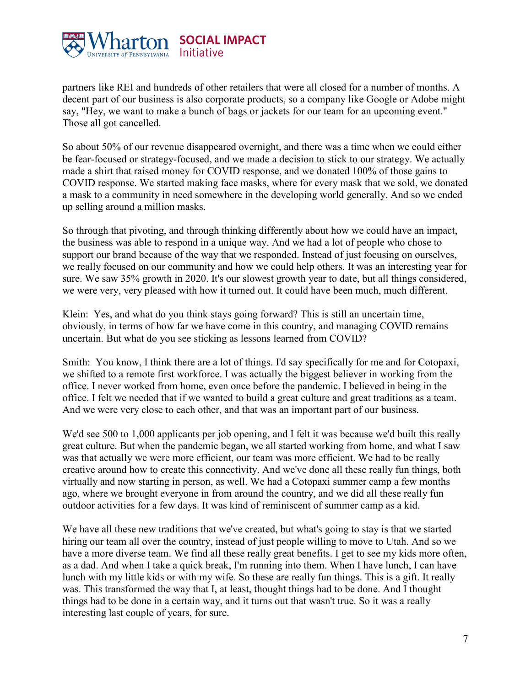

partners like REI and hundreds of other retailers that were all closed for a number of months. A decent part of our business is also corporate products, so a company like Google or Adobe might say, "Hey, we want to make a bunch of bags or jackets for our team for an upcoming event." Those all got cancelled.

So about 50% of our revenue disappeared overnight, and there was a time when we could either be fear-focused or strategy-focused, and we made a decision to stick to our strategy. We actually made a shirt that raised money for COVID response, and we donated 100% of those gains to COVID response. We started making face masks, where for every mask that we sold, we donated a mask to a community in need somewhere in the developing world generally. And so we ended up selling around a million masks.

So through that pivoting, and through thinking differently about how we could have an impact, the business was able to respond in a unique way. And we had a lot of people who chose to support our brand because of the way that we responded. Instead of just focusing on ourselves, we really focused on our community and how we could help others. It was an interesting year for sure. We saw 35% growth in 2020. It's our slowest growth year to date, but all things considered, we were very, very pleased with how it turned out. It could have been much, much different.

Klein: Yes, and what do you think stays going forward? This is still an uncertain time, obviously, in terms of how far we have come in this country, and managing COVID remains uncertain. But what do you see sticking as lessons learned from COVID?

Smith: You know, I think there are a lot of things. I'd say specifically for me and for Cotopaxi, we shifted to a remote first workforce. I was actually the biggest believer in working from the office. I never worked from home, even once before the pandemic. I believed in being in the office. I felt we needed that if we wanted to build a great culture and great traditions as a team. And we were very close to each other, and that was an important part of our business.

We'd see 500 to 1,000 applicants per job opening, and I felt it was because we'd built this really great culture. But when the pandemic began, we all started working from home, and what I saw was that actually we were more efficient, our team was more efficient. We had to be really creative around how to create this connectivity. And we've done all these really fun things, both virtually and now starting in person, as well. We had a Cotopaxi summer camp a few months ago, where we brought everyone in from around the country, and we did all these really fun outdoor activities for a few days. It was kind of reminiscent of summer camp as a kid.

We have all these new traditions that we've created, but what's going to stay is that we started hiring our team all over the country, instead of just people willing to move to Utah. And so we have a more diverse team. We find all these really great benefits. I get to see my kids more often, as a dad. And when I take a quick break, I'm running into them. When I have lunch, I can have lunch with my little kids or with my wife. So these are really fun things. This is a gift. It really was. This transformed the way that I, at least, thought things had to be done. And I thought things had to be done in a certain way, and it turns out that wasn't true. So it was a really interesting last couple of years, for sure.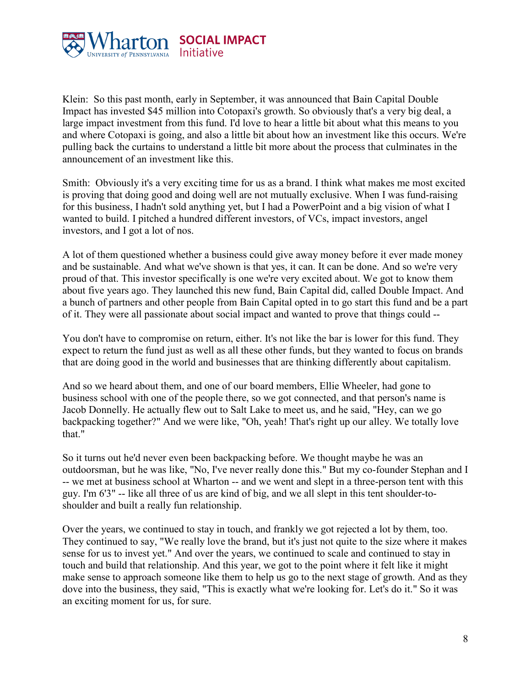

Klein: So this past month, early in September, it was announced that Bain Capital Double Impact has invested \$45 million into Cotopaxi's growth. So obviously that's a very big deal, a large impact investment from this fund. I'd love to hear a little bit about what this means to you and where Cotopaxi is going, and also a little bit about how an investment like this occurs. We're pulling back the curtains to understand a little bit more about the process that culminates in the announcement of an investment like this.

Smith: Obviously it's a very exciting time for us as a brand. I think what makes me most excited is proving that doing good and doing well are not mutually exclusive. When I was fund-raising for this business, I hadn't sold anything yet, but I had a PowerPoint and a big vision of what I wanted to build. I pitched a hundred different investors, of VCs, impact investors, angel investors, and I got a lot of nos.

A lot of them questioned whether a business could give away money before it ever made money and be sustainable. And what we've shown is that yes, it can. It can be done. And so we're very proud of that. This investor specifically is one we're very excited about. We got to know them about five years ago. They launched this new fund, Bain Capital did, called Double Impact. And a bunch of partners and other people from Bain Capital opted in to go start this fund and be a part of it. They were all passionate about social impact and wanted to prove that things could --

You don't have to compromise on return, either. It's not like the bar is lower for this fund. They expect to return the fund just as well as all these other funds, but they wanted to focus on brands that are doing good in the world and businesses that are thinking differently about capitalism.

And so we heard about them, and one of our board members, Ellie Wheeler, had gone to business school with one of the people there, so we got connected, and that person's name is Jacob Donnelly. He actually flew out to Salt Lake to meet us, and he said, "Hey, can we go backpacking together?" And we were like, "Oh, yeah! That's right up our alley. We totally love that."

So it turns out he'd never even been backpacking before. We thought maybe he was an outdoorsman, but he was like, "No, I've never really done this." But my co-founder Stephan and I -- we met at business school at Wharton -- and we went and slept in a three-person tent with this guy. I'm 6'3" -- like all three of us are kind of big, and we all slept in this tent shoulder-toshoulder and built a really fun relationship.

Over the years, we continued to stay in touch, and frankly we got rejected a lot by them, too. They continued to say, "We really love the brand, but it's just not quite to the size where it makes sense for us to invest yet." And over the years, we continued to scale and continued to stay in touch and build that relationship. And this year, we got to the point where it felt like it might make sense to approach someone like them to help us go to the next stage of growth. And as they dove into the business, they said, "This is exactly what we're looking for. Let's do it." So it was an exciting moment for us, for sure.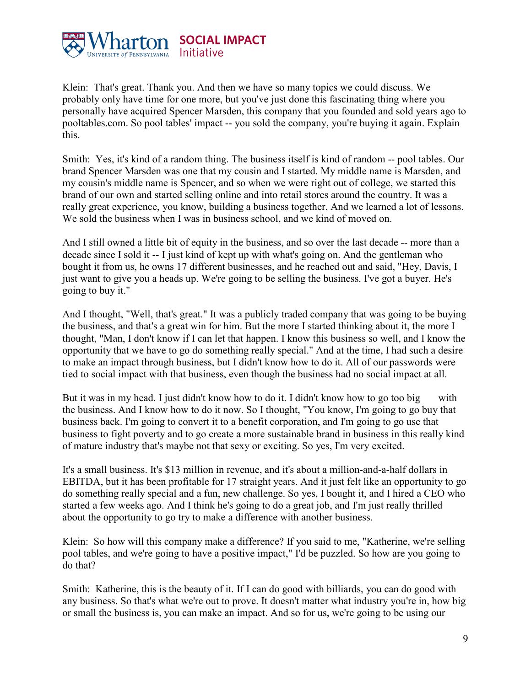

Klein: That's great. Thank you. And then we have so many topics we could discuss. We probably only have time for one more, but you've just done this fascinating thing where you personally have acquired Spencer Marsden, this company that you founded and sold years ago to pooltables.com. So pool tables' impact -- you sold the company, you're buying it again. Explain this.

Smith: Yes, it's kind of a random thing. The business itself is kind of random -- pool tables. Our brand Spencer Marsden was one that my cousin and I started. My middle name is Marsden, and my cousin's middle name is Spencer, and so when we were right out of college, we started this brand of our own and started selling online and into retail stores around the country. It was a really great experience, you know, building a business together. And we learned a lot of lessons. We sold the business when I was in business school, and we kind of moved on.

And I still owned a little bit of equity in the business, and so over the last decade -- more than a decade since I sold it -- I just kind of kept up with what's going on. And the gentleman who bought it from us, he owns 17 different businesses, and he reached out and said, "Hey, Davis, I just want to give you a heads up. We're going to be selling the business. I've got a buyer. He's going to buy it."

And I thought, "Well, that's great." It was a publicly traded company that was going to be buying the business, and that's a great win for him. But the more I started thinking about it, the more I thought, "Man, I don't know if I can let that happen. I know this business so well, and I know the opportunity that we have to go do something really special." And at the time, I had such a desire to make an impact through business, but I didn't know how to do it. All of our passwords were tied to social impact with that business, even though the business had no social impact at all.

But it was in my head. I just didn't know how to do it. I didn't know how to go too big with the business. And I know how to do it now. So I thought, "You know, I'm going to go buy that business back. I'm going to convert it to a benefit corporation, and I'm going to go use that business to fight poverty and to go create a more sustainable brand in business in this really kind of mature industry that's maybe not that sexy or exciting. So yes, I'm very excited.

It's a small business. It's \$13 million in revenue, and it's about a million-and-a-half dollars in EBITDA, but it has been profitable for 17 straight years. And it just felt like an opportunity to go do something really special and a fun, new challenge. So yes, I bought it, and I hired a CEO who started a few weeks ago. And I think he's going to do a great job, and I'm just really thrilled about the opportunity to go try to make a difference with another business.

Klein: So how will this company make a difference? If you said to me, "Katherine, we're selling pool tables, and we're going to have a positive impact," I'd be puzzled. So how are you going to do that?

Smith: Katherine, this is the beauty of it. If I can do good with billiards, you can do good with any business. So that's what we're out to prove. It doesn't matter what industry you're in, how big or small the business is, you can make an impact. And so for us, we're going to be using our